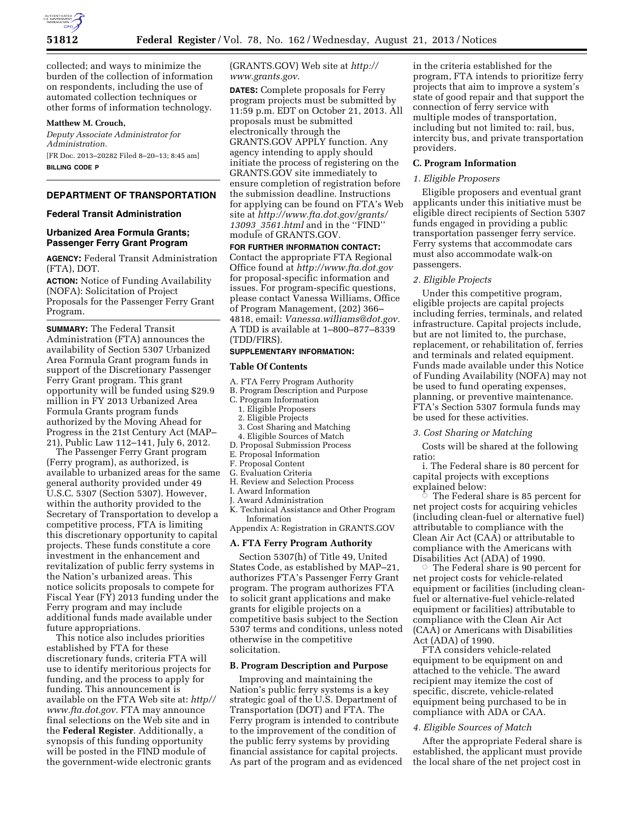

collected; and ways to minimize the burden of the collection of information on respondents, including the use of automated collection techniques or other forms of information technology.

## **Matthew M. Crouch,**

*Deputy Associate Administrator for Administration.*  [FR Doc. 2013–20282 Filed 8–20–13; 8:45 am] **BILLING CODE P** 

# **DEPARTMENT OF TRANSPORTATION**

## **Federal Transit Administration**

# **Urbanized Area Formula Grants; Passenger Ferry Grant Program**

**AGENCY:** Federal Transit Administration (FTA), DOT.

**ACTION:** Notice of Funding Availability (NOFA): Solicitation of Project Proposals for the Passenger Ferry Grant Program.

**SUMMARY:** The Federal Transit Administration (FTA) announces the availability of Section 5307 Urbanized Area Formula Grant program funds in support of the Discretionary Passenger Ferry Grant program. This grant opportunity will be funded using \$29.9 million in FY 2013 Urbanized Area Formula Grants program funds authorized by the Moving Ahead for Progress in the 21st Century Act (MAP– 21), Public Law 112–141, July 6, 2012.

The Passenger Ferry Grant program (Ferry program), as authorized, is available to urbanized areas for the same general authority provided under 49 U.S.C. 5307 (Section 5307). However, within the authority provided to the Secretary of Transportation to develop a competitive process, FTA is limiting this discretionary opportunity to capital projects. These funds constitute a core investment in the enhancement and revitalization of public ferry systems in the Nation's urbanized areas. This notice solicits proposals to compete for Fiscal Year (FY) 2013 funding under the Ferry program and may include additional funds made available under future appropriations.

This notice also includes priorities established by FTA for these discretionary funds, criteria FTA will use to identify meritorious projects for funding, and the process to apply for funding. This announcement is available on the FTA Web site at: *[http//](http//www.fta.dot.gov) [www.fta.dot.gov.](http//www.fta.dot.gov)* FTA may announce final selections on the Web site and in the **Federal Register**. Additionally, a synopsis of this funding opportunity will be posted in the FIND module of the government-wide electronic grants

(GRANTS.GOV) Web site at *[http://](http://www.grants.gov) [www.grants.gov.](http://www.grants.gov)* 

**DATES:** Complete proposals for Ferry program projects must be submitted by 11:59 p.m. EDT on October 21, 2013. All proposals must be submitted electronically through the GRANTS.GOV APPLY function. Any agency intending to apply should initiate the process of registering on the GRANTS.GOV site immediately to ensure completion of registration before the submission deadline. Instructions for applying can be found on FTA's Web site at *[http://www.fta.dot.gov/grants/](http://www.fta.dot.gov/grants/13093_3561.html) 13093*\_*[3561.html](http://www.fta.dot.gov/grants/13093_3561.html)* and in the ''FIND'' module of GRANTS.GOV.

**FOR FURTHER INFORMATION CONTACT:**  Contact the appropriate FTA Regional Office found at *<http://www.fta.dot.gov>* for proposal-specific information and issues. For program-specific questions, please contact Vanessa Williams, Office of Program Management, (202) 366– 4818, email: *[Vanessa.williams@dot.gov.](mailto:Vanessa.williams@dot.gov)*  A TDD is available at 1–800–877–8339 (TDD/FIRS).

### **SUPPLEMENTARY INFORMATION:**

#### **Table Of Contents**

- A. FTA Ferry Program Authority
- B. Program Description and Purpose
- C. Program Information
	- 1. Eligible Proposers
	- 2. Eligible Projects
- 3. Cost Sharing and Matching
- 4. Eligible Sources of Match
- D. Proposal Submission Process
- E. Proposal Information
- F. Proposal Content G. Evaluation Criteria
- H. Review and Selection Process
- I. Award Information
- J. Award Administration
- K. Technical Assistance and Other Program
- Information Appendix A: Registration in GRANTS.GOV

### **A. FTA Ferry Program Authority**

Section 5307(h) of Title 49, United States Code, as established by MAP–21, authorizes FTA's Passenger Ferry Grant program. The program authorizes FTA to solicit grant applications and make grants for eligible projects on a competitive basis subject to the Section 5307 terms and conditions, unless noted otherwise in the competitive solicitation.

### **B. Program Description and Purpose**

Improving and maintaining the Nation's public ferry systems is a key strategic goal of the U.S. Department of Transportation (DOT) and FTA. The Ferry program is intended to contribute to the improvement of the condition of the public ferry systems by providing financial assistance for capital projects. As part of the program and as evidenced

in the criteria established for the program, FTA intends to prioritize ferry projects that aim to improve a system's state of good repair and that support the connection of ferry service with multiple modes of transportation, including but not limited to: rail, bus, intercity bus, and private transportation providers.

# **C. Program Information**

### *1. Eligible Proposers*

Eligible proposers and eventual grant applicants under this initiative must be eligible direct recipients of Section 5307 funds engaged in providing a public transportation passenger ferry service. Ferry systems that accommodate cars must also accommodate walk-on passengers.

### *2. Eligible Projects*

Under this competitive program, eligible projects are capital projects including ferries, terminals, and related infrastructure. Capital projects include, but are not limited to, the purchase, replacement, or rehabilitation of, ferries and terminals and related equipment. Funds made available under this Notice of Funding Availability (NOFA) may not be used to fund operating expenses, planning, or preventive maintenance. FTA's Section 5307 formula funds may be used for these activities.

## *3. Cost Sharing or Matching*

Costs will be shared at the following ratio:

i. The Federal share is 80 percent for capital projects with exceptions

explained below:<br>The Federal s © The Federal share is 85 percent for net project costs for acquiring vehicles (including clean-fuel or alternative fuel) attributable to compliance with the Clean Air Act (CAA) or attributable to compliance with the Americans with Disabilities Act (ADA) of 1990.

 $\circ$  The Federal share is 90 percent for net project costs for vehicle-related equipment or facilities (including cleanfuel or alternative-fuel vehicle-related equipment or facilities) attributable to compliance with the Clean Air Act (CAA) or Americans with Disabilities Act (ADA) of 1990.

FTA considers vehicle-related equipment to be equipment on and attached to the vehicle. The award recipient may itemize the cost of specific, discrete, vehicle-related equipment being purchased to be in compliance with ADA or CAA.

## *4. Eligible Sources of Match*

After the appropriate Federal share is established, the applicant must provide the local share of the net project cost in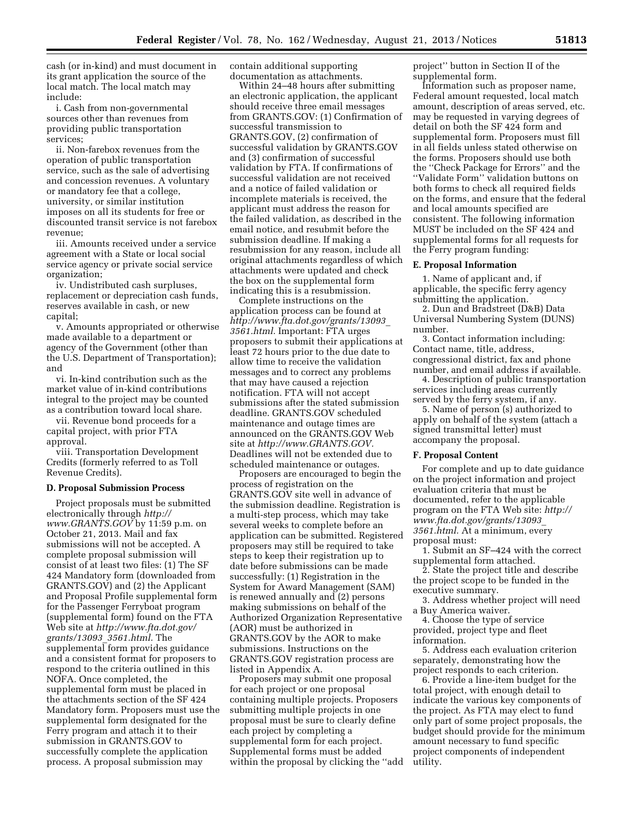cash (or in-kind) and must document in its grant application the source of the local match. The local match may include:

i. Cash from non-governmental sources other than revenues from providing public transportation services;

ii. Non-farebox revenues from the operation of public transportation service, such as the sale of advertising and concession revenues. A voluntary or mandatory fee that a college, university, or similar institution imposes on all its students for free or discounted transit service is not farebox revenue;

iii. Amounts received under a service agreement with a State or local social service agency or private social service organization;

iv. Undistributed cash surpluses, replacement or depreciation cash funds, reserves available in cash, or new capital;

v. Amounts appropriated or otherwise made available to a department or agency of the Government (other than the U.S. Department of Transportation); and

vi. In-kind contribution such as the market value of in-kind contributions integral to the project may be counted as a contribution toward local share.

vii. Revenue bond proceeds for a capital project, with prior FTA approval.

viii. Transportation Development Credits (formerly referred to as Toll Revenue Credits).

### **D. Proposal Submission Process**

Project proposals must be submitted electronically through *[http://](http://www.GRANTS.GOV) [www.GRANTS.GOV](http://www.GRANTS.GOV)* by 11:59 p.m. on October 21, 2013. Mail and fax submissions will not be accepted. A complete proposal submission will consist of at least two files: (1) The SF 424 Mandatory form (downloaded from GRANTS.GOV) and (2) the Applicant and Proposal Profile supplemental form for the Passenger Ferryboat program (supplemental form) found on the FTA Web site at *[http://www.fta.dot.gov/](http://www.fta.dot.gov/grants/13093_3561.html) [grants/13093](http://www.fta.dot.gov/grants/13093_3561.html)*\_*3561.html.* The supplemental form provides guidance and a consistent format for proposers to respond to the criteria outlined in this NOFA. Once completed, the supplemental form must be placed in the attachments section of the SF 424 Mandatory form. Proposers must use the supplemental form designated for the Ferry program and attach it to their submission in GRANTS.GOV to successfully complete the application process. A proposal submission may

contain additional supporting documentation as attachments.

Within 24–48 hours after submitting an electronic application, the applicant should receive three email messages from GRANTS.GOV: (1) Confirmation of successful transmission to GRANTS.GOV, (2) confirmation of successful validation by GRANTS.GOV and (3) confirmation of successful validation by FTA. If confirmations of successful validation are not received and a notice of failed validation or incomplete materials is received, the applicant must address the reason for the failed validation, as described in the email notice, and resubmit before the submission deadline. If making a resubmission for any reason, include all original attachments regardless of which attachments were updated and check the box on the supplemental form indicating this is a resubmission.

Complete instructions on the application process can be found at *[http://www.fta.dot.gov/grants/13093](http://www.fta.dot.gov/grants/13093_3561.html)*\_ *[3561.html.](http://www.fta.dot.gov/grants/13093_3561.html)* Important: FTA urges proposers to submit their applications at least 72 hours prior to the due date to allow time to receive the validation messages and to correct any problems that may have caused a rejection notification. FTA will not accept submissions after the stated submission deadline. GRANTS.GOV scheduled maintenance and outage times are announced on the GRANTS.GOV Web site at *[http://www.GRANTS.GOV.](http://www.GRANTS.GOV)*  Deadlines will not be extended due to scheduled maintenance or outages.

Proposers are encouraged to begin the process of registration on the GRANTS.GOV site well in advance of the submission deadline. Registration is a multi-step process, which may take several weeks to complete before an application can be submitted. Registered proposers may still be required to take steps to keep their registration up to date before submissions can be made successfully: (1) Registration in the System for Award Management (SAM) is renewed annually and (2) persons making submissions on behalf of the Authorized Organization Representative (AOR) must be authorized in GRANTS.GOV by the AOR to make submissions. Instructions on the GRANTS.GOV registration process are listed in Appendix A.

Proposers may submit one proposal for each project or one proposal containing multiple projects. Proposers submitting multiple projects in one proposal must be sure to clearly define each project by completing a supplemental form for each project. Supplemental forms must be added within the proposal by clicking the ''add project'' button in Section II of the supplemental form.

Information such as proposer name, Federal amount requested, local match amount, description of areas served, etc. may be requested in varying degrees of detail on both the SF 424 form and supplemental form. Proposers must fill in all fields unless stated otherwise on the forms. Proposers should use both the ''Check Package for Errors'' and the ''Validate Form'' validation buttons on both forms to check all required fields on the forms, and ensure that the federal and local amounts specified are consistent. The following information MUST be included on the SF 424 and supplemental forms for all requests for the Ferry program funding:

### **E. Proposal Information**

1. Name of applicant and, if applicable, the specific ferry agency submitting the application.

2. Dun and Bradstreet (D&B) Data Universal Numbering System (DUNS) number.

3. Contact information including: Contact name, title, address, congressional district, fax and phone number, and email address if available.

4. Description of public transportation services including areas currently served by the ferry system, if any.

5. Name of person (s) authorized to apply on behalf of the system (attach a signed transmittal letter) must accompany the proposal.

#### **F. Proposal Content**

For complete and up to date guidance on the project information and project evaluation criteria that must be documented, refer to the applicable program on the FTA Web site: *[http://](http://www.fta.dot.gov/grants/13093_3561.html) [www.fta.dot.gov/grants/13093](http://www.fta.dot.gov/grants/13093_3561.html)*\_ *[3561.html.](http://www.fta.dot.gov/grants/13093_3561.html)* At a minimum, every proposal must:

1. Submit an SF–424 with the correct supplemental form attached.

2. State the project title and describe the project scope to be funded in the executive summary.

3. Address whether project will need a Buy America waiver.

4. Choose the type of service provided, project type and fleet information.

5. Address each evaluation criterion separately, demonstrating how the project responds to each criterion.

6. Provide a line-item budget for the total project, with enough detail to indicate the various key components of the project. As FTA may elect to fund only part of some project proposals, the budget should provide for the minimum amount necessary to fund specific project components of independent utility.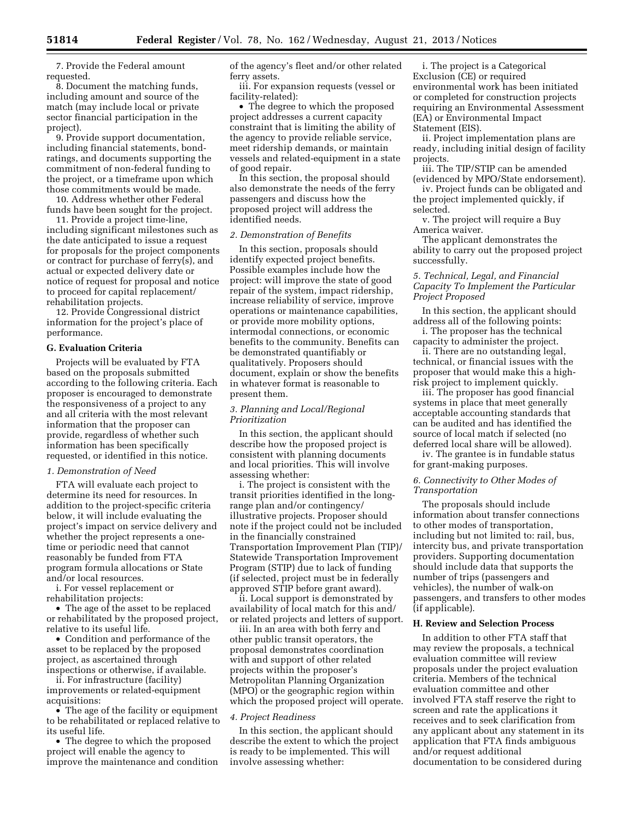7. Provide the Federal amount requested.

8. Document the matching funds, including amount and source of the match (may include local or private sector financial participation in the project).

9. Provide support documentation, including financial statements, bondratings, and documents supporting the commitment of non-federal funding to the project, or a timeframe upon which those commitments would be made.

10. Address whether other Federal funds have been sought for the project.

11. Provide a project time-line, including significant milestones such as the date anticipated to issue a request for proposals for the project components or contract for purchase of ferry(s), and actual or expected delivery date or notice of request for proposal and notice to proceed for capital replacement/ rehabilitation projects.

12. Provide Congressional district information for the project's place of performance.

### **G. Evaluation Criteria**

Projects will be evaluated by FTA based on the proposals submitted according to the following criteria. Each proposer is encouraged to demonstrate the responsiveness of a project to any and all criteria with the most relevant information that the proposer can provide, regardless of whether such information has been specifically requested, or identified in this notice.

## *1. Demonstration of Need*

FTA will evaluate each project to determine its need for resources. In addition to the project-specific criteria below, it will include evaluating the project's impact on service delivery and whether the project represents a onetime or periodic need that cannot reasonably be funded from FTA program formula allocations or State and/or local resources.

i. For vessel replacement or rehabilitation projects:

• The age of the asset to be replaced or rehabilitated by the proposed project, relative to its useful life.

• Condition and performance of the asset to be replaced by the proposed project, as ascertained through inspections or otherwise, if available.

ii. For infrastructure (facility) improvements or related-equipment acquisitions:

• The age of the facility or equipment to be rehabilitated or replaced relative to its useful life.

• The degree to which the proposed project will enable the agency to improve the maintenance and condition of the agency's fleet and/or other related ferry assets.

iii. For expansion requests (vessel or facility-related):

• The degree to which the proposed project addresses a current capacity constraint that is limiting the ability of the agency to provide reliable service, meet ridership demands, or maintain vessels and related-equipment in a state of good repair.

In this section, the proposal should also demonstrate the needs of the ferry passengers and discuss how the proposed project will address the identified needs.

#### *2. Demonstration of Benefits*

In this section, proposals should identify expected project benefits. Possible examples include how the project: will improve the state of good repair of the system, impact ridership, increase reliability of service, improve operations or maintenance capabilities, or provide more mobility options, intermodal connections, or economic benefits to the community. Benefits can be demonstrated quantifiably or qualitatively. Proposers should document, explain or show the benefits in whatever format is reasonable to present them.

## *3. Planning and Local/Regional Prioritization*

In this section, the applicant should describe how the proposed project is consistent with planning documents and local priorities. This will involve assessing whether:

i. The project is consistent with the transit priorities identified in the longrange plan and/or contingency/ illustrative projects. Proposer should note if the project could not be included in the financially constrained Transportation Improvement Plan (TIP)/ Statewide Transportation Improvement Program (STIP) due to lack of funding (if selected, project must be in federally approved STIP before grant award).

ii. Local support is demonstrated by availability of local match for this and/ or related projects and letters of support.

iii. In an area with both ferry and other public transit operators, the proposal demonstrates coordination with and support of other related projects within the proposer's Metropolitan Planning Organization (MPO) or the geographic region within which the proposed project will operate.

### *4. Project Readiness*

In this section, the applicant should describe the extent to which the project is ready to be implemented. This will involve assessing whether:

i. The project is a Categorical Exclusion (CE) or required environmental work has been initiated or completed for construction projects requiring an Environmental Assessment (EA) or Environmental Impact Statement (EIS).

ii. Project implementation plans are ready, including initial design of facility projects.

iii. The TIP/STIP can be amended (evidenced by MPO/State endorsement).

iv. Project funds can be obligated and the project implemented quickly, if selected.

v. The project will require a Buy America waiver.

The applicant demonstrates the ability to carry out the proposed project successfully.

## *5. Technical, Legal, and Financial Capacity To Implement the Particular Project Proposed*

In this section, the applicant should address all of the following points:

i. The proposer has the technical capacity to administer the project.

ii. There are no outstanding legal, technical, or financial issues with the proposer that would make this a highrisk project to implement quickly.

iii. The proposer has good financial systems in place that meet generally acceptable accounting standards that can be audited and has identified the source of local match if selected (no deferred local share will be allowed).

iv. The grantee is in fundable status for grant-making purposes.

## *6. Connectivity to Other Modes of Transportation*

The proposals should include information about transfer connections to other modes of transportation, including but not limited to: rail, bus, intercity bus, and private transportation providers. Supporting documentation should include data that supports the number of trips (passengers and vehicles), the number of walk-on passengers, and transfers to other modes (if applicable).

## **H. Review and Selection Process**

In addition to other FTA staff that may review the proposals, a technical evaluation committee will review proposals under the project evaluation criteria. Members of the technical evaluation committee and other involved FTA staff reserve the right to screen and rate the applications it receives and to seek clarification from any applicant about any statement in its application that FTA finds ambiguous and/or request additional documentation to be considered during